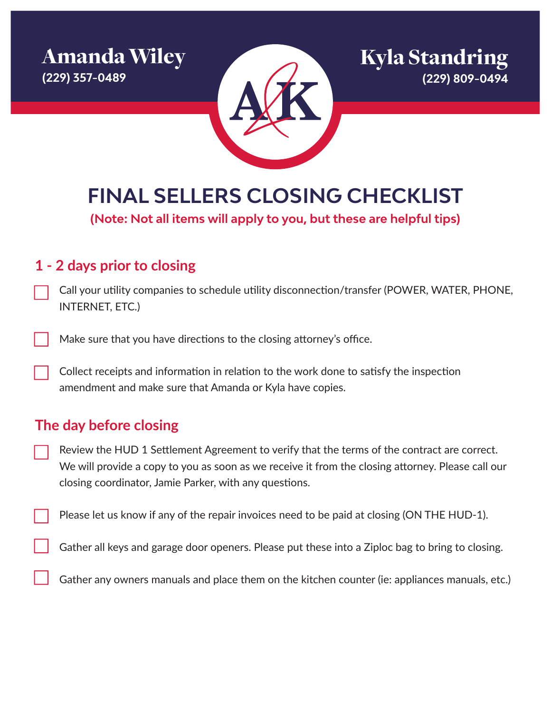Amanda Wiley **(229) 357-0489**



**FINAL SELLERS CLOSING CHECKLIST**

**(Note: Not all items will apply to you, but these are helpful tips)**

### **1 - 2 days prior to closing**

- Call your utility companies to schedule utility disconnection/transfer (POWER, WATER, PHONE, INTERNET, ETC.)
- Make sure that you have directions to the closing attorney's office.
- Collect receipts and information in relation to the work done to satisfy the inspection amendment and make sure that Amanda or Kyla have copies.

# **The day before closing**

- Review the HUD 1 Settlement Agreement to verify that the terms of the contract are correct. We will provide a copy to you as soon as we receive it from the closing attorney. Please call our closing coordinator, Jamie Parker, with any questions.
- Please let us know if any of the repair invoices need to be paid at closing (ON THE HUD-1).
	- Gather all keys and garage door openers. Please put these into a Ziploc bag to bring to closing.
	- Gather any owners manuals and place them on the kitchen counter (ie: appliances manuals, etc.)